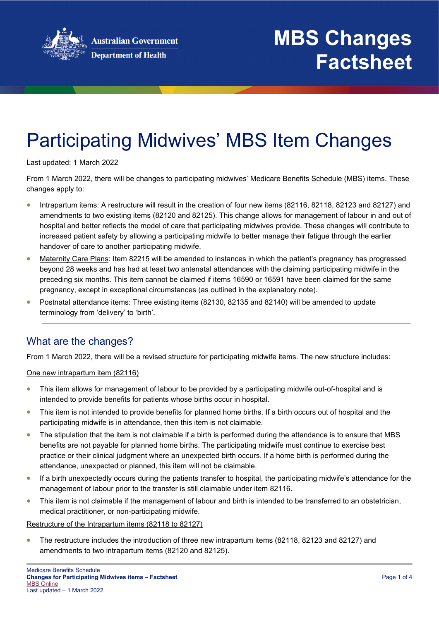

# Participating Midwives' MBS Item Changes

Last updated: 1 March 2022

From 1 March 2022, there will be changes to participating midwives' Medicare Benefits Schedule (MBS) items. These changes apply to:

- Intrapartum items: A restructure will result in the creation of four new items (82116, 82118, 82123 and 82127) and amendments to two existing items (82120 and 82125). This change allows for management of labour in and out of hospital and better reflects the model of care that participating midwives provide. These changes will contribute to increased patient safety by allowing a participating midwife to better manage their fatigue through the earlier handover of care to another participating midwife.
- Maternity Care Plans: Item 82215 will be amended to instances in which the patient's pregnancy has progressed beyond 28 weeks and has had at least two antenatal attendances with the claiming participating midwife in the preceding six months. This item cannot be claimed if items 16590 or 16591 have been claimed for the same pregnancy, except in exceptional circumstances (as outlined in the explanatory note).
- Postnatal attendance items: Three existing items (82130, 82135 and 82140) will be amended to update terminology from 'delivery' to 'birth'.

## What are the changes?

From 1 March 2022, there will be a revised structure for participating midwife items. The new structure includes:

#### One new intrapartum item (82116)

- This item allows for management of labour to be provided by a participating midwife out-of-hospital and is intended to provide benefits for patients whose births occur in hospital.
- This item is not intended to provide benefits for planned home births. If a birth occurs out of hospital and the participating midwife is in attendance, then this item is not claimable.
- The stipulation that the item is not claimable if a birth is performed during the attendance is to ensure that MBS benefits are not payable for planned home births. The participating midwife must continue to exercise best practice or their clinical judgment where an unexpected birth occurs. If a home birth is performed during the attendance, unexpected or planned, this item will not be claimable.
- If a birth unexpectedly occurs during the patients transfer to hospital, the participating midwife's attendance for the management of labour prior to the transfer is still claimable under item 82116.
- This item is not claimable if the management of labour and birth is intended to be transferred to an obstetrician, medical practitioner, or non-participating midwife.

### Restructure of the Intrapartum items (82118 to 82127)

• The restructure includes the introduction of three new intrapartum items (82118, 82123 and 82127) and amendments to two intrapartum items (82120 and 82125).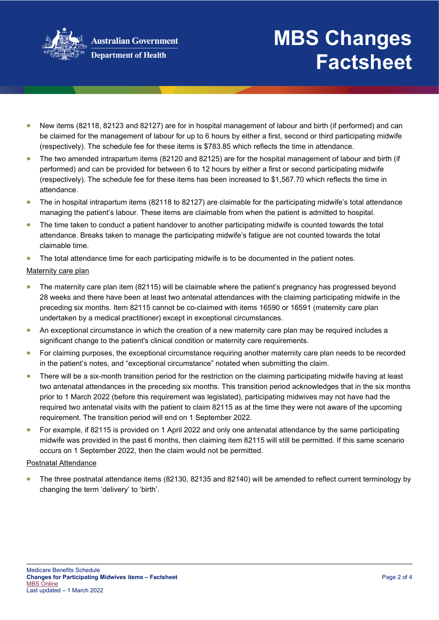

# **MBS Changes Factsheet**

- New items (82118, 82123 and 82127) are for in hospital management of labour and birth (if performed) and can be claimed for the management of labour for up to 6 hours by either a first, second or third participating midwife (respectively). The schedule fee for these items is \$783.85 which reflects the time in attendance.
- The two amended intrapartum items (82120 and 82125) are for the hospital management of labour and birth (if performed) and can be provided for between 6 to 12 hours by either a first or second participating midwife (respectively). The schedule fee for these items has been increased to \$1,567.70 which reflects the time in attendance.
- The in hospital intrapartum items (82118 to 82127) are claimable for the participating midwife's total attendance managing the patient's labour. These items are claimable from when the patient is admitted to hospital.
- The time taken to conduct a patient handover to another participating midwife is counted towards the total attendance. Breaks taken to manage the participating midwife's fatigue are not counted towards the total claimable time.
- The total attendance time for each participating midwife is to be documented in the patient notes.

### Maternity care plan

- The maternity care plan item (82115) will be claimable where the patient's pregnancy has progressed beyond 28 weeks and there have been at least two antenatal attendances with the claiming participating midwife in the preceding six months. Item 82115 cannot be co-claimed with items 16590 or 16591 (maternity care plan undertaken by a medical practitioner) except in exceptional circumstances.
- An exceptional circumstance in which the creation of a new maternity care plan may be required includes a significant change to the patient's clinical condition or maternity care requirements.
- For claiming purposes, the exceptional circumstance requiring another maternity care plan needs to be recorded in the patient's notes, and "exceptional circumstance" notated when submitting the claim.
- There will be a six-month transition period for the restriction on the claiming participating midwife having at least two antenatal attendances in the preceding six months. This transition period acknowledges that in the six months prior to 1 March 2022 (before this requirement was legislated), participating midwives may not have had the required two antenatal visits with the patient to claim 82115 as at the time they were not aware of the upcoming requirement. The transition period will end on 1 September 2022.
- For example, if 82115 is provided on 1 April 2022 and only one antenatal attendance by the same participating midwife was provided in the past 6 months, then claiming item 82115 will still be permitted. If this same scenario occurs on 1 September 2022, then the claim would not be permitted.

### Postnatal Attendance

• The three postnatal attendance items (82130, 82135 and 82140) will be amended to reflect current terminology by changing the term 'delivery' to 'birth'.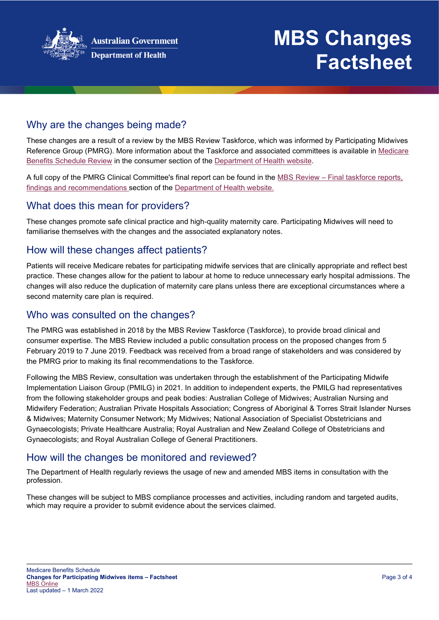

# **MBS Changes Factsheet**

# Why are the changes being made?

These changes are a result of a review by the MBS Review Taskforce, which was informed by Participating Midwives Reference Group (PMRG). More information about the Taskforce and associated committees is available in [Medicare](http://www.health.gov.au/internet/main/publishing.nsf/content/mbsreviewtaskforce)  [Benefits Schedule Review](http://www.health.gov.au/internet/main/publishing.nsf/content/mbsreviewtaskforce) in the consumer section of the [Department of Health website.](http://www.health.gov.au/)

A full copy of the PMRG Clinical Committee's final report can be found in the MBS Review – [Final taskforce reports,](https://www.health.gov.au/resources/collections/mbs-review-final-taskforce-reports-findings-and-recommendations)  [findings and recommendations](https://www.health.gov.au/resources/collections/mbs-review-final-taskforce-reports-findings-and-recommendations) section of the [Department of Health website.](http://www.health.gov.au/)

### What does this mean for providers?

These changes promote safe clinical practice and high-quality maternity care. Participating Midwives will need to familiarise themselves with the changes and the associated explanatory notes.

## How will these changes affect patients?

Patients will receive Medicare rebates for participating midwife services that are clinically appropriate and reflect best practice. These changes allow for the patient to labour at home to reduce unnecessary early hospital admissions. The changes will also reduce the duplication of maternity care plans unless there are exceptional circumstances where a second maternity care plan is required.

## Who was consulted on the changes?

The PMRG was established in 2018 by the MBS Review Taskforce (Taskforce), to provide broad clinical and consumer expertise. The MBS Review included a public consultation process on the proposed changes from 5 February 2019 to 7 June 2019. Feedback was received from a broad range of stakeholders and was considered by the PMRG prior to making its final recommendations to the Taskforce.

Following the MBS Review, consultation was undertaken through the establishment of the Participating Midwife Implementation Liaison Group (PMILG) in 2021. In addition to independent experts, the PMILG had representatives from the following stakeholder groups and peak bodies: Australian College of Midwives; Australian Nursing and Midwifery Federation; Australian Private Hospitals Association; Congress of Aboriginal & Torres Strait Islander Nurses & Midwives; Maternity Consumer Network; My Midwives; National Association of Specialist Obstetricians and Gynaecologists; Private Healthcare Australia; Royal Australian and New Zealand College of Obstetricians and Gynaecologists; and Royal Australian College of General Practitioners.

## How will the changes be monitored and reviewed?

The Department of Health regularly reviews the usage of new and amended MBS items in consultation with the profession.

These changes will be subject to MBS compliance processes and activities, including random and targeted audits, which may require a provider to submit evidence about the services claimed.